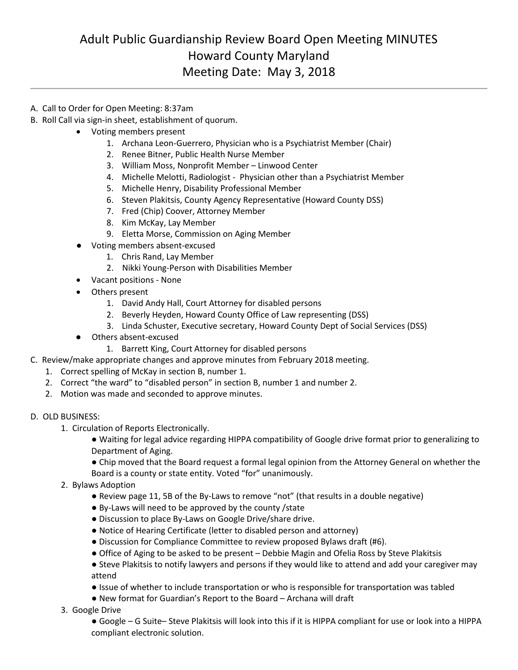## Adult Public Guardianship Review Board Open Meeting MINUTES Howard County Maryland Meeting Date: May 3, 2018

- A. Call to Order for Open Meeting: 8:37am
- B. Roll Call via sign-in sheet, establishment of quorum.
	- Voting members present
		- 1. Archana Leon-Guerrero, Physician who is a Psychiatrist Member (Chair)
		- 2. Renee Bitner, Public Health Nurse Member
		- 3. William Moss, Nonprofit Member Linwood Center
		- 4. Michelle Melotti, Radiologist Physician other than a Psychiatrist Member
		- 5. Michelle Henry, Disability Professional Member
		- 6. Steven Plakitsis, County Agency Representative (Howard County DSS)
		- 7. Fred (Chip) Coover, Attorney Member
		- 8. Kim McKay, Lay Member
		- 9. Eletta Morse, Commission on Aging Member
	- Voting members absent-excused
		- 1. Chris Rand, Lay Member
		- 2. Nikki Young-Person with Disabilities Member
	- Vacant positions None
	- Others present
		- 1. David Andy Hall, Court Attorney for disabled persons
		- 2. Beverly Heyden, Howard County Office of Law representing (DSS)
		- 3. Linda Schuster, Executive secretary, Howard County Dept of Social Services (DSS)
	- Others absent-excused
		- 1. Barrett King, Court Attorney for disabled persons
- C. Review/make appropriate changes and approve minutes from February 2018 meeting.
	- 1. Correct spelling of McKay in section B, number 1.
		- 2. Correct "the ward" to "disabled person" in section B, number 1 and number 2.
		- 2. Motion was made and seconded to approve minutes.

## D. OLD BUSINESS:

- 1. Circulation of Reports Electronically.
	- Waiting for legal advice regarding HIPPA compatibility of Google drive format prior to generalizing to Department of Aging.
	- Chip moved that the Board request a formal legal opinion from the Attorney General on whether the
	- Board is a county or state entity. Voted "for" unanimously.
- 2. Bylaws Adoption
	- Review page 11, 5B of the By-Laws to remove "not" (that results in a double negative)
	- By-Laws will need to be approved by the county /state
	- Discussion to place By-Laws on Google Drive/share drive.
	- Notice of Hearing Certificate (letter to disabled person and attorney)
	- Discussion for Compliance Committee to review proposed Bylaws draft (#6).
	- Office of Aging to be asked to be present Debbie Magin and Ofelia Ross by Steve Plakitsis
	- Steve Plakitsis to notify lawyers and persons if they would like to attend and add your caregiver may attend
	- Issue of whether to include transportation or who is responsible for transportation was tabled
	- New format for Guardian's Report to the Board Archana will draft
- 3. Google Drive
	- Google G Suite– Steve Plakitsis will look into this if it is HIPPA compliant for use or look into a HIPPA compliant electronic solution.